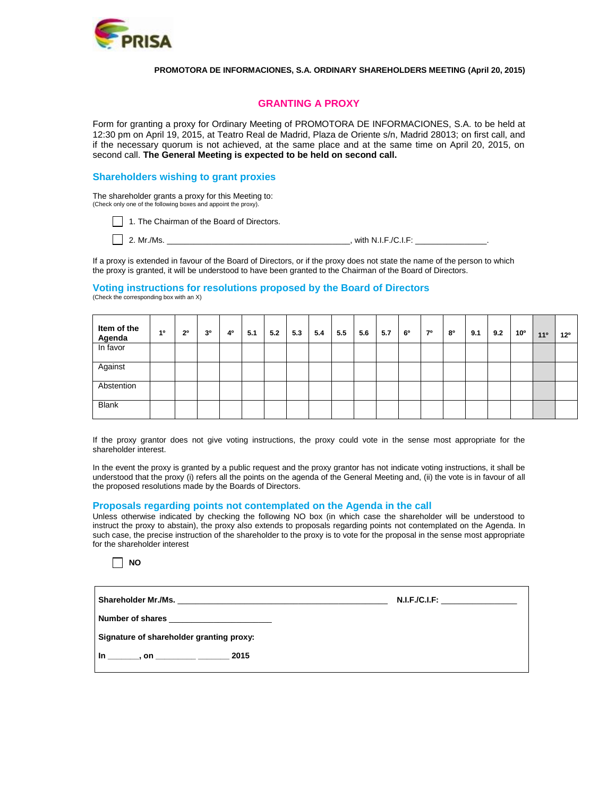

#### **PROMOTORA DE INFORMACIONES, S.A. ORDINARY SHAREHOLDERS MEETING (April 20, 2015)**

## **GRANTING A PROXY**

Form for granting a proxy for Ordinary Meeting of PROMOTORA DE INFORMACIONES, S.A. to be held at 12:30 pm on April 19, 2015, at Teatro Real de Madrid, Plaza de Oriente s/n, Madrid 28013; on first call, and if the necessary quorum is not achieved, at the same place and at the same time on April 20, 2015, on second call. **The General Meeting is expected to be held on second call.**

#### **Shareholders wishing to grant proxies**

The shareholder grants a proxy for this Meeting to: (Check only one of the following boxes and appoint the proxy).

1. The Chairman of the Board of Directors.

2. Mr./Ms. \_\_\_\_\_\_\_\_\_\_\_\_\_\_\_\_\_\_\_\_\_\_\_\_\_\_\_\_\_\_\_\_\_\_\_\_\_\_\_\_\_, with N.I.F./C.I.F: \_\_\_\_\_\_\_\_\_\_\_\_\_\_\_\_.

If a proxy is extended in favour of the Board of Directors, or if the proxy does not state the name of the person to which the proxy is granted, it will be understood to have been granted to the Chairman of the Board of Directors.

#### **Voting instructions for resolutions proposed by the Board of Directors** (Check the corresponding box with an X)

| Item of the<br>Agenda | 10 | $2^{\circ}$ | 30 | 40 | 5.1 | 5.2 | 5.3 | 5.4 | 5.5 | 5.6 | 5.7 | 60 | 70 | 80 | 9.1 | 9.2 | 10 <sup>o</sup> | 11 <sup>°</sup> | $12^{\circ}$ |
|-----------------------|----|-------------|----|----|-----|-----|-----|-----|-----|-----|-----|----|----|----|-----|-----|-----------------|-----------------|--------------|
| In favor              |    |             |    |    |     |     |     |     |     |     |     |    |    |    |     |     |                 |                 |              |
| Against               |    |             |    |    |     |     |     |     |     |     |     |    |    |    |     |     |                 |                 |              |
| Abstention            |    |             |    |    |     |     |     |     |     |     |     |    |    |    |     |     |                 |                 |              |
| <b>Blank</b>          |    |             |    |    |     |     |     |     |     |     |     |    |    |    |     |     |                 |                 |              |

If the proxy grantor does not give voting instructions, the proxy could vote in the sense most appropriate for the shareholder interest.

In the event the proxy is granted by a public request and the proxy grantor has not indicate voting instructions, it shall be understood that the proxy (i) refers all the points on the agenda of the General Meeting and, (ii) the vote is in favour of all the proposed resolutions made by the Boards of Directors.

#### **Proposals regarding points not contemplated on the Agenda in the call**

Unless otherwise indicated by checking the following NO box (in which case the shareholder will be understood to instruct the proxy to abstain), the proxy also extends to proposals regarding points not contemplated on the Agenda. In such case, the precise instruction of the shareholder to the proxy is to vote for the proposal in the sense most appropriate for the shareholder interest



|                                                           | N.I.F.C.I.F: |
|-----------------------------------------------------------|--------------|
|                                                           |              |
| Signature of shareholder granting proxy:                  |              |
| $\ln \frac{1000 \text{ m/s}}{1000 \text{ m/s}}$ , on 2015 |              |
|                                                           |              |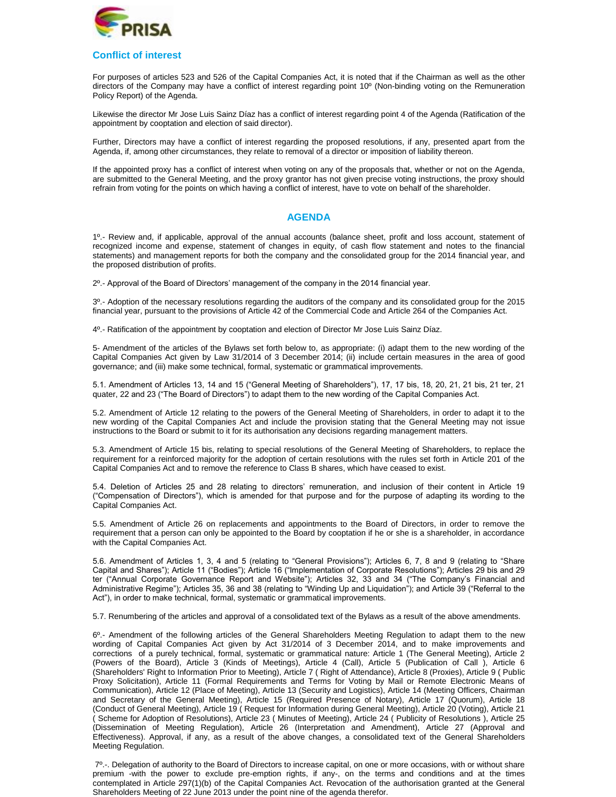

### **Conflict of interest**

For purposes of articles 523 and 526 of the Capital Companies Act, it is noted that if the Chairman as well as the other directors of the Company may have a conflict of interest regarding point 10º (Non-binding voting on the Remuneration Policy Report) of the Agenda.

Likewise the director Mr Jose Luis Sainz Díaz has a conflict of interest regarding point 4 of the Agenda (Ratification of the appointment by cooptation and election of said director).

Further, Directors may have a conflict of interest regarding the proposed resolutions, if any, presented apart from the Agenda, if, among other circumstances, they relate to removal of a director or imposition of liability thereon.

If the appointed proxy has a conflict of interest when voting on any of the proposals that, whether or not on the Agenda, are submitted to the General Meeting, and the proxy grantor has not given precise voting instructions, the proxy should refrain from voting for the points on which having a conflict of interest, have to vote on behalf of the shareholder.

## **AGENDA**

1º.- Review and, if applicable, approval of the annual accounts (balance sheet, profit and loss account, statement of recognized income and expense, statement of changes in equity, of cash flow statement and notes to the financial statements) and management reports for both the company and the consolidated group for the 2014 financial year, and the proposed distribution of profits.

2º.- Approval of the Board of Directors' management of the company in the 2014 financial year.

3º.- Adoption of the necessary resolutions regarding the auditors of the company and its consolidated group for the 2015 financial year, pursuant to the provisions of Article 42 of the Commercial Code and Article 264 of the Companies Act.

4º.- Ratification of the appointment by cooptation and election of Director Mr Jose Luis Sainz Díaz.

5- Amendment of the articles of the Bylaws set forth below to, as appropriate: (i) adapt them to the new wording of the Capital Companies Act given by Law 31/2014 of 3 December 2014; (ii) include certain measures in the area of good governance; and (iii) make some technical, formal, systematic or grammatical improvements.

5.1. Amendment of Articles 13, 14 and 15 ("General Meeting of Shareholders"), 17, 17 bis, 18, 20, 21, 21 bis, 21 ter, 21 quater, 22 and 23 ("The Board of Directors") to adapt them to the new wording of the Capital Companies Act.

5.2. Amendment of Article 12 relating to the powers of the General Meeting of Shareholders, in order to adapt it to the new wording of the Capital Companies Act and include the provision stating that the General Meeting may not issue instructions to the Board or submit to it for its authorisation any decisions regarding management matters.

5.3. Amendment of Article 15 bis, relating to special resolutions of the General Meeting of Shareholders, to replace the requirement for a reinforced majority for the adoption of certain resolutions with the rules set forth in Article 201 of the Capital Companies Act and to remove the reference to Class B shares, which have ceased to exist.

5.4. Deletion of Articles 25 and 28 relating to directors' remuneration, and inclusion of their content in Article 19 ("Compensation of Directors"), which is amended for that purpose and for the purpose of adapting its wording to the Capital Companies Act.

5.5. Amendment of Article 26 on replacements and appointments to the Board of Directors, in order to remove the requirement that a person can only be appointed to the Board by cooptation if he or she is a shareholder, in accordance with the Capital Companies Act.

5.6. Amendment of Articles 1, 3, 4 and 5 (relating to "General Provisions"); Articles 6, 7, 8 and 9 (relating to "Share Capital and Shares"); Article 11 ("Bodies"); Article 16 ("Implementation of Corporate Resolutions"); Articles 29 bis and 29 ter ("Annual Corporate Governance Report and Website"); Articles 32, 33 and 34 ("The Company's Financial and Administrative Regime"); Articles 35, 36 and 38 (relating to "Winding Up and Liquidation"); and Article 39 ("Referral to the Act"), in order to make technical, formal, systematic or grammatical improvements.

5.7. Renumbering of the articles and approval of a consolidated text of the Bylaws as a result of the above amendments.

6º.- Amendment of the following articles of the General Shareholders Meeting Regulation to adapt them to the new wording of Capital Companies Act given by Act 31/2014 of 3 December 2014, and to make improvements and corrections of a purely technical, formal, systematic or grammatical nature: Article 1 (The General Meeting), Article 2 (Powers of the Board), Article 3 (Kinds of Meetings), Article 4 (Call), Article 5 (Publication of Call ), Article 6 (Shareholders' Right to Information Prior to Meeting), Article 7 ( Right of Attendance), Article 8 (Proxies), Article 9 ( Public Proxy Solicitation), Article 11 (Formal Requirements and Terms for Voting by Mail or Remote Electronic Means of Communication), Article 12 (Place of Meeting), Article 13 (Security and Logistics), Article 14 (Meeting Officers, Chairman and Secretary of the General Meeting), Article 15 (Required Presence of Notary), Article 17 (Quorum), Article 18 (Conduct of General Meeting), Article 19 ( Request for Information during General Meeting), Article 20 (Voting), Article 21 Scheme for Adoption of Resolutions), Article 23 ( Minutes of Meeting), Article 24 ( Publicity of Resolutions ), Article 25 (Dissemination of Meeting Regulation), Article 26 (Interpretation and Amendment), Article 27 (Approval and Effectiveness). Approval, if any, as a result of the above changes, a consolidated text of the General Shareholders Meeting Regulation.

7º.-. Delegation of authority to the Board of Directors to increase capital, on one or more occasions, with or without share premium -with the power to exclude pre-emption rights, if any-, on the terms and conditions and at the times contemplated in Article 297(1)(b) of the Capital Companies Act. Revocation of the authorisation granted at the General Shareholders Meeting of 22 June 2013 under the point nine of the agenda therefor.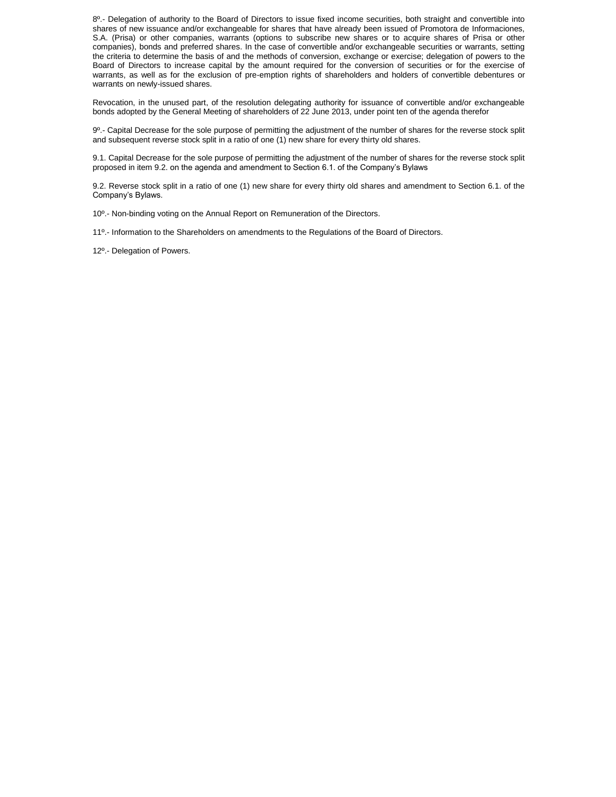8<sup>o</sup>.- Delegation of authority to the Board of Directors to issue fixed income securities, both straight and convertible into shares of new issuance and/or exchangeable for shares that have already been issued of Promotora de Informaciones, S.A. (Prisa) or other companies, warrants (options to subscribe new shares or to acquire shares of Prisa or other companies), bonds and preferred shares. In the case of convertible and/or exchangeable securities or warrants, setting the criteria to determine the basis of and the methods of conversion, exchange or exercise; delegation of powers to the Board of Directors to increase capital by the amount required for the conversion of securities or for the exercise of warrants, as well as for the exclusion of pre-emption rights of shareholders and holders of convertible debentures or warrants on newly-issued shares.

Revocation, in the unused part, of the resolution delegating authority for issuance of convertible and/or exchangeable bonds adopted by the General Meeting of shareholders of 22 June 2013, under point ten of the agenda therefor

9º.- Capital Decrease for the sole purpose of permitting the adjustment of the number of shares for the reverse stock split and subsequent reverse stock split in a ratio of one (1) new share for every thirty old shares.

9.1. Capital Decrease for the sole purpose of permitting the adjustment of the number of shares for the reverse stock split proposed in item 9.2. on the agenda and amendment to Section 6.1. of the Company's Bylaws

9.2. Reverse stock split in a ratio of one (1) new share for every thirty old shares and amendment to Section 6.1. of the Company's Bylaws.

10º.- Non-binding voting on the Annual Report on [Remuneration of the Directors.](http://www.prisa.com/uploads/ficheros/arboles/descargas/201403/descargas-remuneration-policy-report-en.pdf)

11º.- Information to the Shareholders on amendments to the Regulations of the Board of Directors.

12º.- Delegation of Powers.